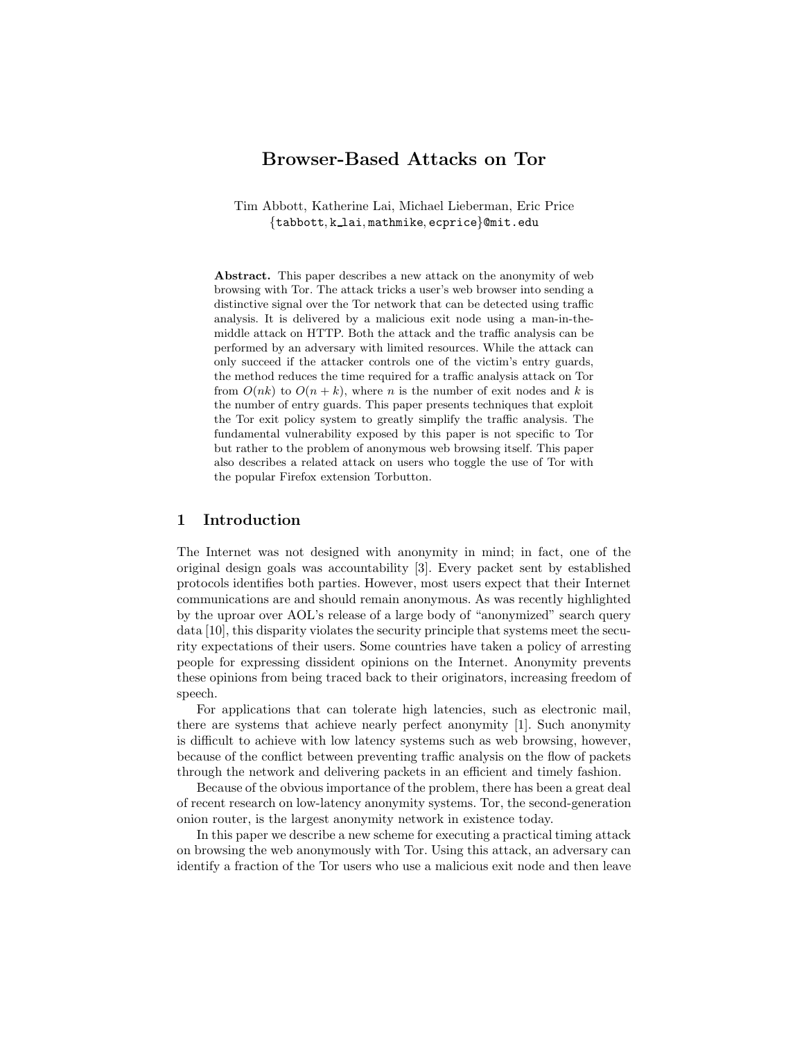# Browser-Based Attacks on Tor

Tim Abbott, Katherine Lai, Michael Lieberman, Eric Price {tabbott, k lai, mathmike, ecprice}@mit.edu

Abstract. This paper describes a new attack on the anonymity of web browsing with Tor. The attack tricks a user's web browser into sending a distinctive signal over the Tor network that can be detected using traffic analysis. It is delivered by a malicious exit node using a man-in-themiddle attack on HTTP. Both the attack and the traffic analysis can be performed by an adversary with limited resources. While the attack can only succeed if the attacker controls one of the victim's entry guards, the method reduces the time required for a traffic analysis attack on Tor from  $O(nk)$  to  $O(n+k)$ , where *n* is the number of exit nodes and *k* is the number of entry guards. This paper presents techniques that exploit the Tor exit policy system to greatly simplify the traffic analysis. The fundamental vulnerability exposed by this paper is not specific to Tor but rather to the problem of anonymous web browsing itself. This paper also describes a related attack on users who toggle the use of Tor with the popular Firefox extension Torbutton.

## 1 Introduction

The Internet was not designed with anonymity in mind; in fact, one of the original design goals was accountability [3]. Every packet sent by established protocols identifies both parties. However, most users expect that their Internet communications are and should remain anonymous. As was recently highlighted by the uproar over AOL's release of a large body of "anonymized" search query data [10], this disparity violates the security principle that systems meet the security expectations of their users. Some countries have taken a policy of arresting people for expressing dissident opinions on the Internet. Anonymity prevents these opinions from being traced back to their originators, increasing freedom of speech.

For applications that can tolerate high latencies, such as electronic mail, there are systems that achieve nearly perfect anonymity [1]. Such anonymity is difficult to achieve with low latency systems such as web browsing, however, because of the conflict between preventing traffic analysis on the flow of packets through the network and delivering packets in an efficient and timely fashion.

Because of the obvious importance of the problem, there has been a great deal of recent research on low-latency anonymity systems. Tor, the second-generation onion router, is the largest anonymity network in existence today.

In this paper we describe a new scheme for executing a practical timing attack on browsing the web anonymously with Tor. Using this attack, an adversary can identify a fraction of the Tor users who use a malicious exit node and then leave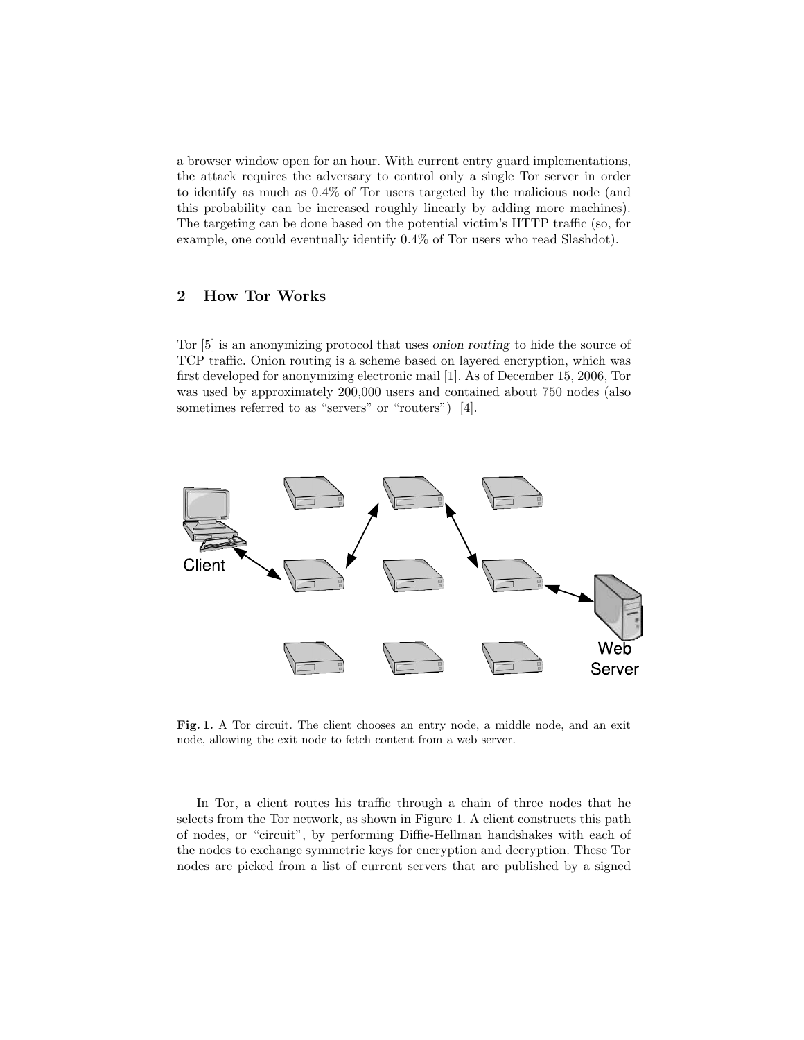a browser window open for an hour. With current entry guard implementations, the attack requires the adversary to control only a single Tor server in order to identify as much as 0.4% of Tor users targeted by the malicious node (and this probability can be increased roughly linearly by adding more machines). The targeting can be done based on the potential victim's HTTP traffic (so, for example, one could eventually identify 0.4% of Tor users who read Slashdot).

## 2 How Tor Works

Tor [5] is an anonymizing protocol that uses onion routing to hide the source of TCP traffic. Onion routing is a scheme based on layered encryption, which was first developed for anonymizing electronic mail [1]. As of December 15, 2006, Tor was used by approximately 200,000 users and contained about 750 nodes (also sometimes referred to as "servers" or "routers") [4].



Fig. 1. A Tor circuit. The client chooses an entry node, a middle node, and an exit node, allowing the exit node to fetch content from a web server.

In Tor, a client routes his traffic through a chain of three nodes that he selects from the Tor network, as shown in Figure 1. A client constructs this path of nodes, or "circuit", by performing Diffie-Hellman handshakes with each of the nodes to exchange symmetric keys for encryption and decryption. These Tor nodes are picked from a list of current servers that are published by a signed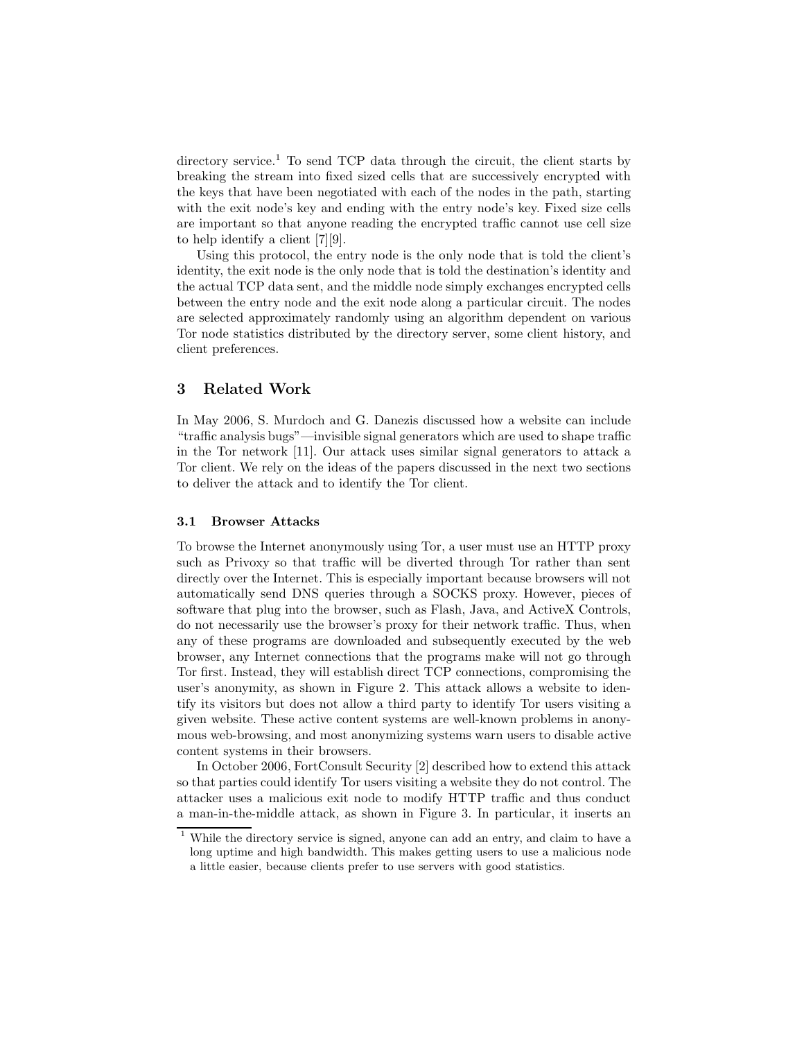directory service.<sup>1</sup> To send TCP data through the circuit, the client starts by breaking the stream into fixed sized cells that are successively encrypted with the keys that have been negotiated with each of the nodes in the path, starting with the exit node's key and ending with the entry node's key. Fixed size cells are important so that anyone reading the encrypted traffic cannot use cell size to help identify a client [7][9].

Using this protocol, the entry node is the only node that is told the client's identity, the exit node is the only node that is told the destination's identity and the actual TCP data sent, and the middle node simply exchanges encrypted cells between the entry node and the exit node along a particular circuit. The nodes are selected approximately randomly using an algorithm dependent on various Tor node statistics distributed by the directory server, some client history, and client preferences.

## 3 Related Work

In May 2006, S. Murdoch and G. Danezis discussed how a website can include "traffic analysis bugs"—invisible signal generators which are used to shape traffic in the Tor network [11]. Our attack uses similar signal generators to attack a Tor client. We rely on the ideas of the papers discussed in the next two sections to deliver the attack and to identify the Tor client.

### 3.1 Browser Attacks

To browse the Internet anonymously using Tor, a user must use an HTTP proxy such as Privoxy so that traffic will be diverted through Tor rather than sent directly over the Internet. This is especially important because browsers will not automatically send DNS queries through a SOCKS proxy. However, pieces of software that plug into the browser, such as Flash, Java, and ActiveX Controls, do not necessarily use the browser's proxy for their network traffic. Thus, when any of these programs are downloaded and subsequently executed by the web browser, any Internet connections that the programs make will not go through Tor first. Instead, they will establish direct TCP connections, compromising the user's anonymity, as shown in Figure 2. This attack allows a website to identify its visitors but does not allow a third party to identify Tor users visiting a given website. These active content systems are well-known problems in anonymous web-browsing, and most anonymizing systems warn users to disable active content systems in their browsers.

In October 2006, FortConsult Security [2] described how to extend this attack so that parties could identify Tor users visiting a website they do not control. The attacker uses a malicious exit node to modify HTTP traffic and thus conduct a man-in-the-middle attack, as shown in Figure 3. In particular, it inserts an

<sup>&</sup>lt;sup>1</sup> While the directory service is signed, anyone can add an entry, and claim to have a long uptime and high bandwidth. This makes getting users to use a malicious node a little easier, because clients prefer to use servers with good statistics.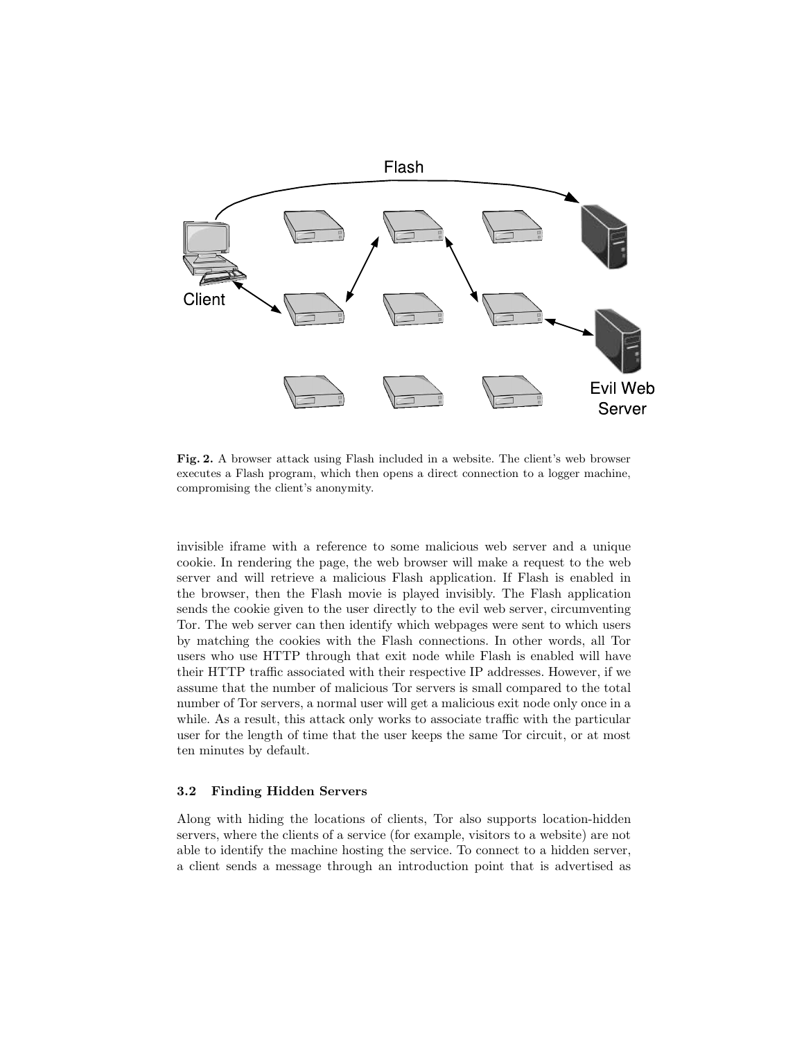

Fig. 2. A browser attack using Flash included in a website. The client's web browser executes a Flash program, which then opens a direct connection to a logger machine, compromising the client's anonymity.

invisible iframe with a reference to some malicious web server and a unique cookie. In rendering the page, the web browser will make a request to the web server and will retrieve a malicious Flash application. If Flash is enabled in the browser, then the Flash movie is played invisibly. The Flash application sends the cookie given to the user directly to the evil web server, circumventing Tor. The web server can then identify which webpages were sent to which users by matching the cookies with the Flash connections. In other words, all Tor users who use HTTP through that exit node while Flash is enabled will have their HTTP traffic associated with their respective IP addresses. However, if we assume that the number of malicious Tor servers is small compared to the total number of Tor servers, a normal user will get a malicious exit node only once in a while. As a result, this attack only works to associate traffic with the particular user for the length of time that the user keeps the same Tor circuit, or at most ten minutes by default.

### 3.2 Finding Hidden Servers

Along with hiding the locations of clients, Tor also supports location-hidden servers, where the clients of a service (for example, visitors to a website) are not able to identify the machine hosting the service. To connect to a hidden server, a client sends a message through an introduction point that is advertised as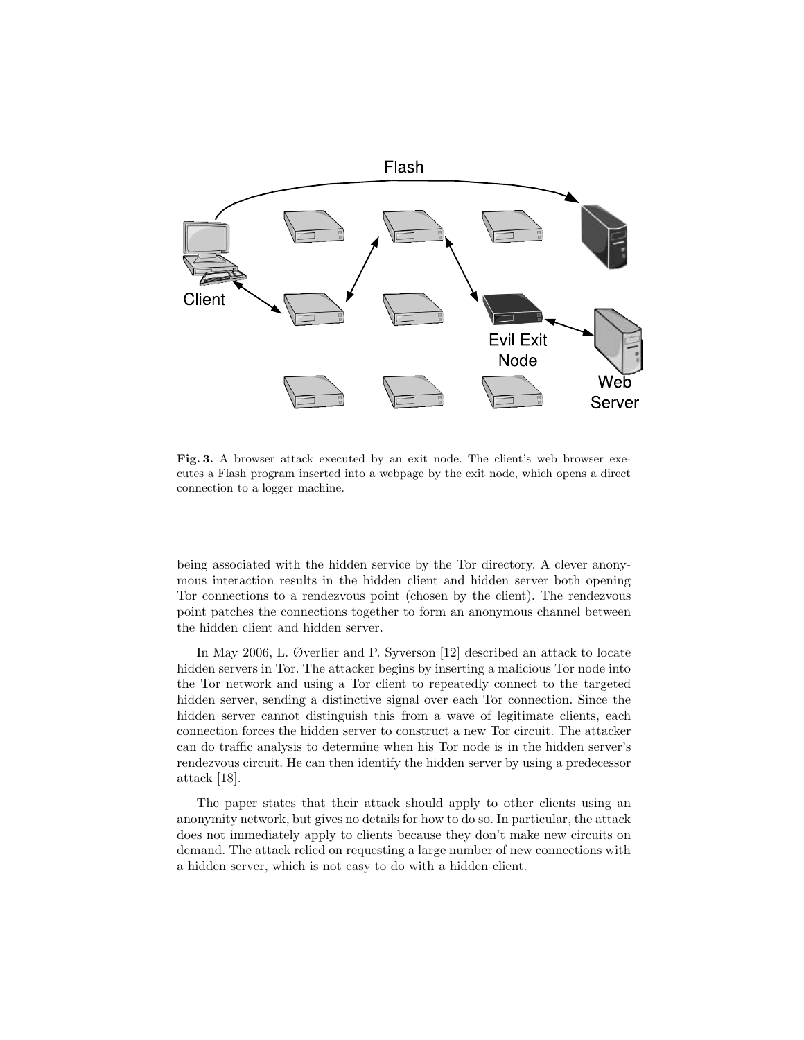

Fig. 3. A browser attack executed by an exit node. The client's web browser executes a Flash program inserted into a webpage by the exit node, which opens a direct connection to a logger machine.

being associated with the hidden service by the Tor directory. A clever anonymous interaction results in the hidden client and hidden server both opening Tor connections to a rendezvous point (chosen by the client). The rendezvous point patches the connections together to form an anonymous channel between the hidden client and hidden server.

In May 2006, L. Øverlier and P. Syverson [12] described an attack to locate hidden servers in Tor. The attacker begins by inserting a malicious Tor node into the Tor network and using a Tor client to repeatedly connect to the targeted hidden server, sending a distinctive signal over each Tor connection. Since the hidden server cannot distinguish this from a wave of legitimate clients, each connection forces the hidden server to construct a new Tor circuit. The attacker can do traffic analysis to determine when his Tor node is in the hidden server's rendezvous circuit. He can then identify the hidden server by using a predecessor attack [18].

The paper states that their attack should apply to other clients using an anonymity network, but gives no details for how to do so. In particular, the attack does not immediately apply to clients because they don't make new circuits on demand. The attack relied on requesting a large number of new connections with a hidden server, which is not easy to do with a hidden client.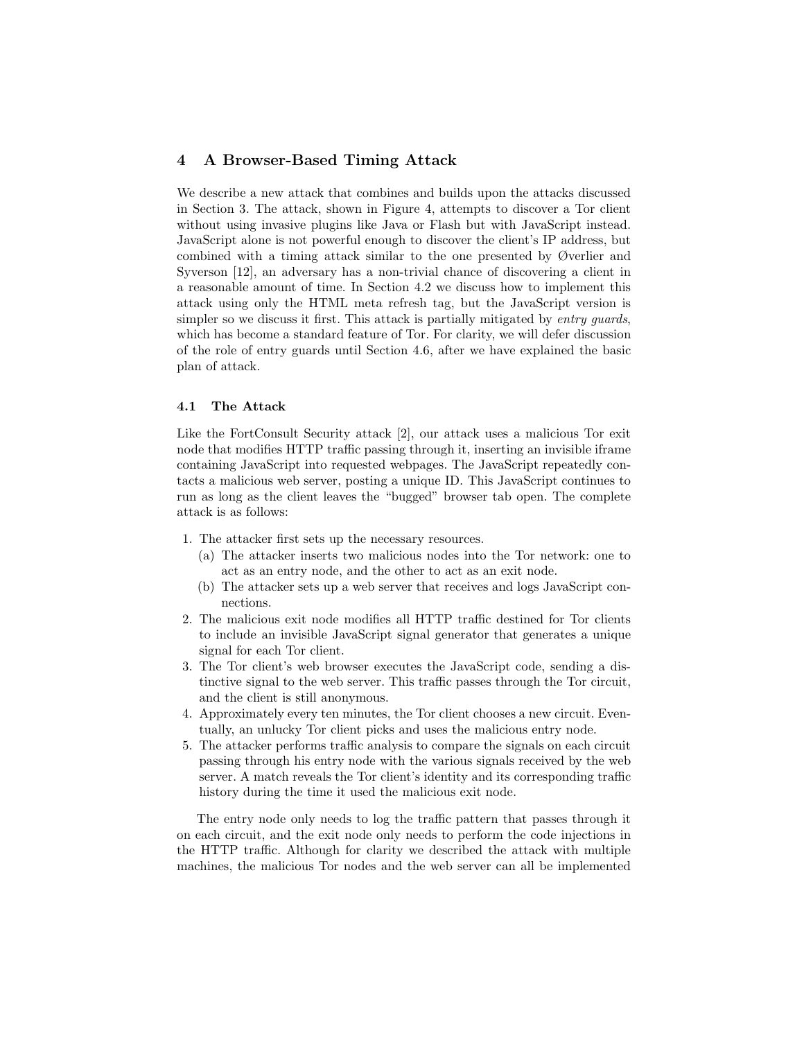## 4 A Browser-Based Timing Attack

We describe a new attack that combines and builds upon the attacks discussed in Section 3. The attack, shown in Figure 4, attempts to discover a Tor client without using invasive plugins like Java or Flash but with JavaScript instead. JavaScript alone is not powerful enough to discover the client's IP address, but combined with a timing attack similar to the one presented by Øverlier and Syverson [12], an adversary has a non-trivial chance of discovering a client in a reasonable amount of time. In Section 4.2 we discuss how to implement this attack using only the HTML meta refresh tag, but the JavaScript version is simpler so we discuss it first. This attack is partially mitigated by *entry quards*, which has become a standard feature of Tor. For clarity, we will defer discussion of the role of entry guards until Section 4.6, after we have explained the basic plan of attack.

### 4.1 The Attack

Like the FortConsult Security attack [2], our attack uses a malicious Tor exit node that modifies HTTP traffic passing through it, inserting an invisible iframe containing JavaScript into requested webpages. The JavaScript repeatedly contacts a malicious web server, posting a unique ID. This JavaScript continues to run as long as the client leaves the "bugged" browser tab open. The complete attack is as follows:

- 1. The attacker first sets up the necessary resources.
	- (a) The attacker inserts two malicious nodes into the Tor network: one to act as an entry node, and the other to act as an exit node.
	- (b) The attacker sets up a web server that receives and logs JavaScript connections.
- 2. The malicious exit node modifies all HTTP traffic destined for Tor clients to include an invisible JavaScript signal generator that generates a unique signal for each Tor client.
- 3. The Tor client's web browser executes the JavaScript code, sending a distinctive signal to the web server. This traffic passes through the Tor circuit, and the client is still anonymous.
- 4. Approximately every ten minutes, the Tor client chooses a new circuit. Eventually, an unlucky Tor client picks and uses the malicious entry node.
- 5. The attacker performs traffic analysis to compare the signals on each circuit passing through his entry node with the various signals received by the web server. A match reveals the Tor client's identity and its corresponding traffic history during the time it used the malicious exit node.

The entry node only needs to log the traffic pattern that passes through it on each circuit, and the exit node only needs to perform the code injections in the HTTP traffic. Although for clarity we described the attack with multiple machines, the malicious Tor nodes and the web server can all be implemented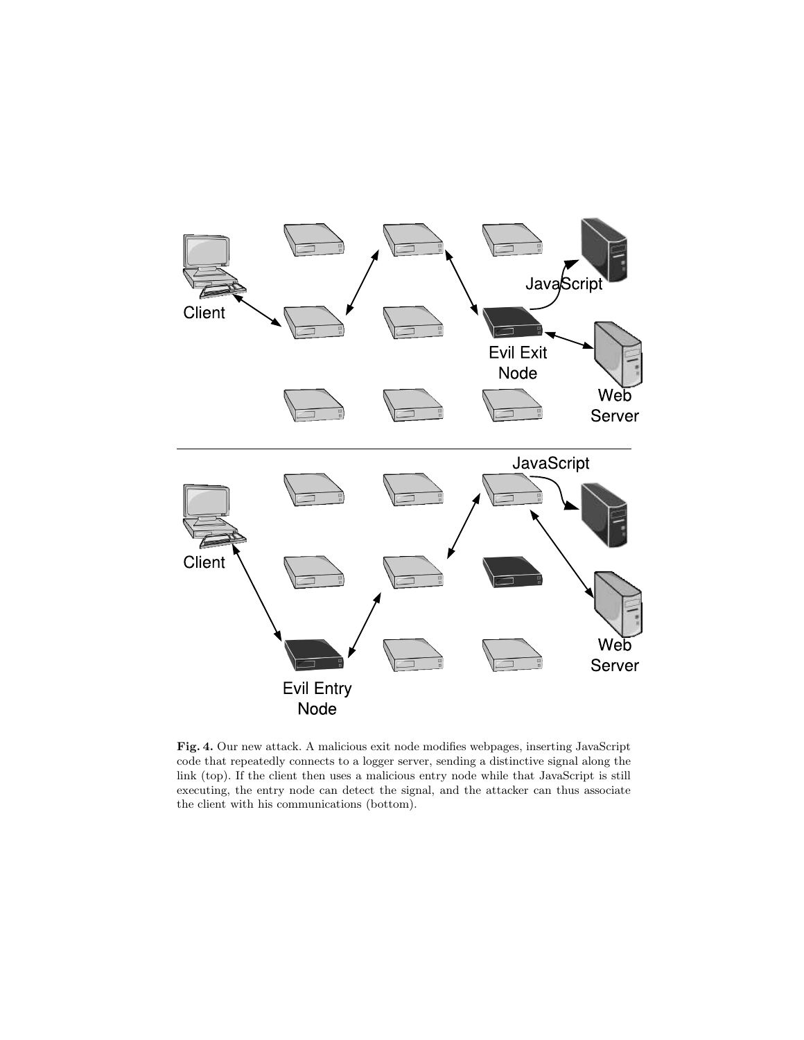

Fig. 4. Our new attack. A malicious exit node modifies webpages, inserting JavaScript code that repeatedly connects to a logger server, sending a distinctive signal along the link (top). If the client then uses a malicious entry node while that JavaScript is still executing, the entry node can detect the signal, and the attacker can thus associate the client with his communications (bottom).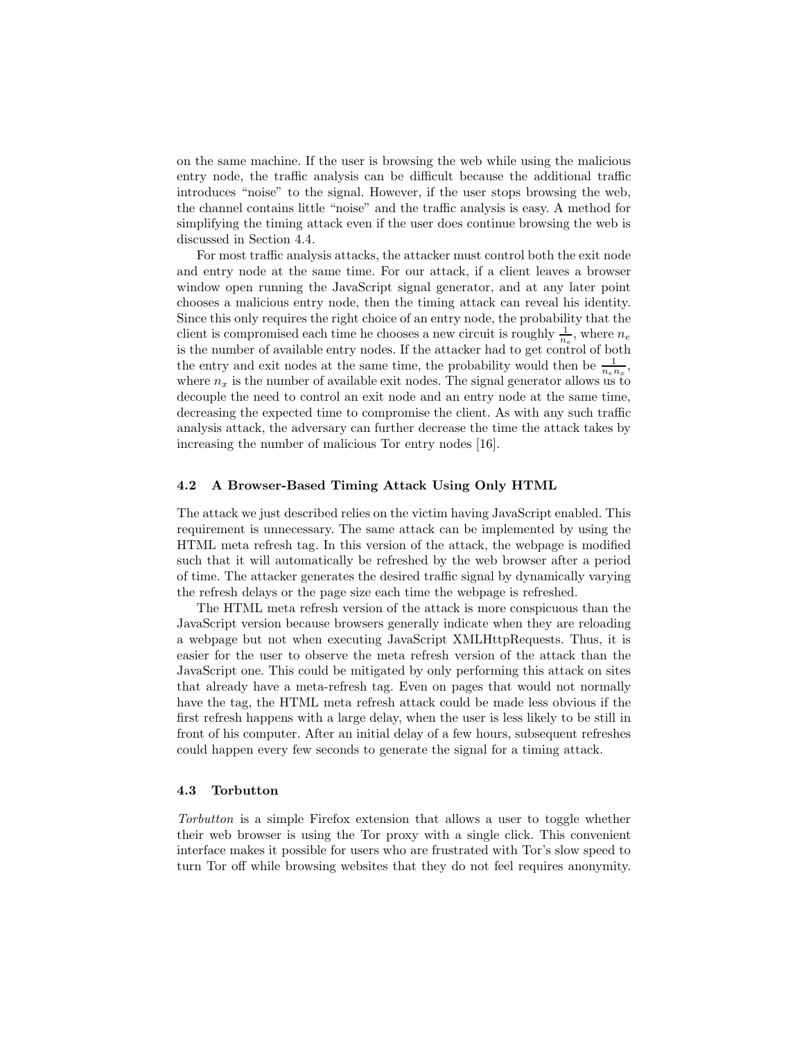on the same machine. If the user is browsing the web while using the malicious entry node, the traffic analysis can be difficult because the additional traffic introduces "noise" to the signal. However, if the user stops browsing the web, the channel contains little "noise" and the traffic analysis is easy. A method for simplifying the timing attack even if the user does continue browsing the web is discussed in Section 4.4.

For most traffic analysis attacks, the attacker must control both the exit node and entry node at the same time. For our attack, if a client leaves a browser window open running the JavaScript signal generator, and at any later point chooses a malicious entry node, then the timing attack can reveal his identity. Since this only requires the right choice of an entry node, the probability that the client is compromised each time he chooses a new circuit is roughly  $\frac{1}{n_e}$ , where  $n_e$ is the number of available entry nodes. If the attacker had to get control of both the entry and exit nodes at the same time, the probability would then be  $\frac{1}{n_e n_x}$ , where  $n_x$  is the number of available exit nodes. The signal generator allows us to decouple the need to control an exit node and an entry node at the same time, decreasing the expected time to compromise the client. As with any such traffic analysis attack, the adversary can further decrease the time the attack takes by increasing the number of malicious Tor entry nodes [16].

### 4.2 A Browser-Based Timing Attack Using Only HTML

The attack we just described relies on the victim having JavaScript enabled. This requirement is unnecessary. The same attack can be implemented by using the HTML meta refresh tag. In this version of the attack, the webpage is modified such that it will automatically be refreshed by the web browser after a period of time. The attacker generates the desired traffic signal by dynamically varying the refresh delays or the page size each time the webpage is refreshed.

The HTML meta refresh version of the attack is more conspicuous than the JavaScript version because browsers generally indicate when they are reloading a webpage but not when executing JavaScript XMLHttpRequests. Thus, it is easier for the user to observe the meta refresh version of the attack than the JavaScript one. This could be mitigated by only performing this attack on sites that already have a meta-refresh tag. Even on pages that would not normally have the tag, the HTML meta refresh attack could be made less obvious if the first refresh happens with a large delay, when the user is less likely to be still in front of his computer. After an initial delay of a few hours, subsequent refreshes could happen every few seconds to generate the signal for a timing attack.

#### 4.3 Torbutton

Torbutton is a simple Firefox extension that allows a user to toggle whether their web browser is using the Tor proxy with a single click. This convenient interface makes it possible for users who are frustrated with Tor's slow speed to turn Tor off while browsing websites that they do not feel requires anonymity.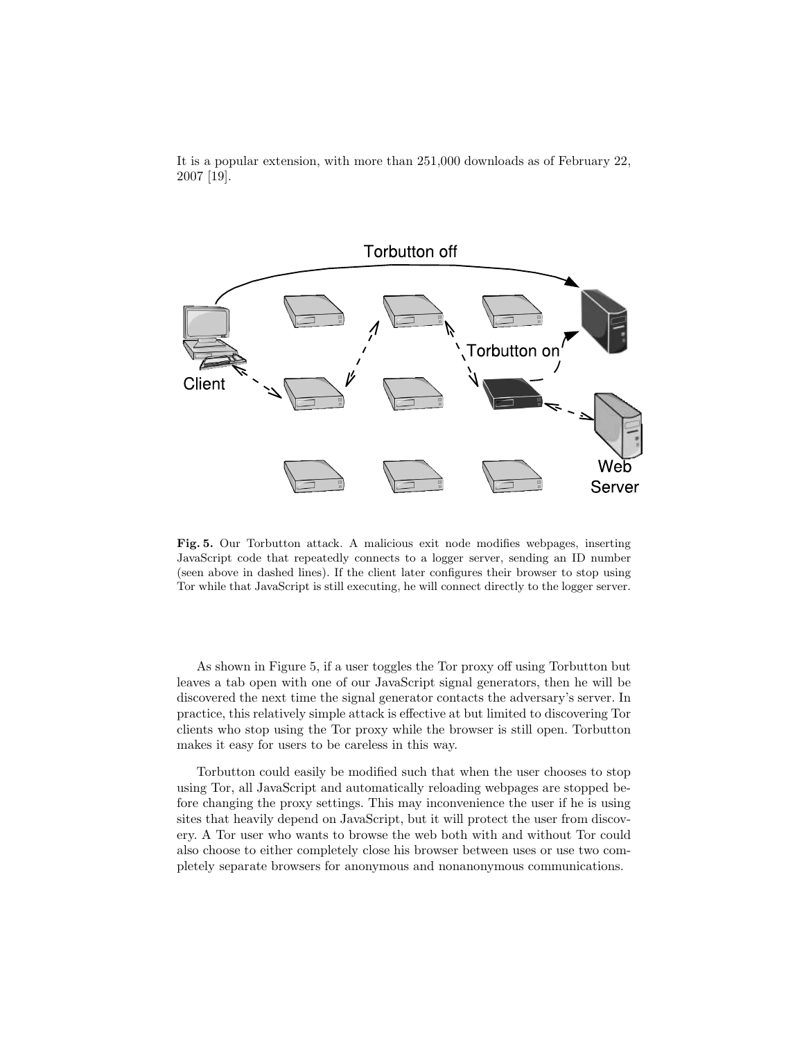It is a popular extension, with more than 251,000 downloads as of February 22, 2007 [19].



Fig. 5. Our Torbutton attack. A malicious exit node modifies webpages, inserting JavaScript code that repeatedly connects to a logger server, sending an ID number (seen above in dashed lines). If the client later configures their browser to stop using Tor while that JavaScript is still executing, he will connect directly to the logger server.

As shown in Figure 5, if a user toggles the Tor proxy off using Torbutton but leaves a tab open with one of our JavaScript signal generators, then he will be discovered the next time the signal generator contacts the adversary's server. In practice, this relatively simple attack is effective at but limited to discovering Tor clients who stop using the Tor proxy while the browser is still open. Torbutton makes it easy for users to be careless in this way.

Torbutton could easily be modified such that when the user chooses to stop using Tor, all JavaScript and automatically reloading webpages are stopped before changing the proxy settings. This may inconvenience the user if he is using sites that heavily depend on JavaScript, but it will protect the user from discovery. A Tor user who wants to browse the web both with and without Tor could also choose to either completely close his browser between uses or use two completely separate browsers for anonymous and nonanonymous communications.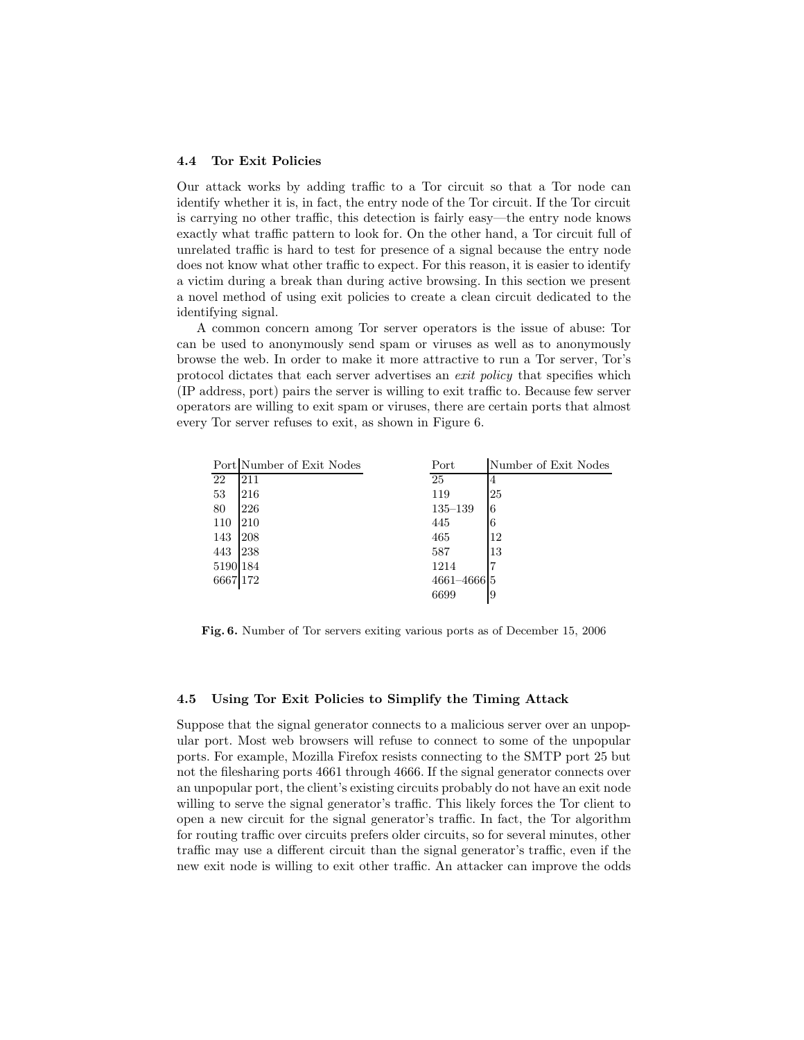### 4.4 Tor Exit Policies

Our attack works by adding traffic to a Tor circuit so that a Tor node can identify whether it is, in fact, the entry node of the Tor circuit. If the Tor circuit is carrying no other traffic, this detection is fairly easy—the entry node knows exactly what traffic pattern to look for. On the other hand, a Tor circuit full of unrelated traffic is hard to test for presence of a signal because the entry node does not know what other traffic to expect. For this reason, it is easier to identify a victim during a break than during active browsing. In this section we present a novel method of using exit policies to create a clean circuit dedicated to the identifying signal.

A common concern among Tor server operators is the issue of abuse: Tor can be used to anonymously send spam or viruses as well as to anonymously browse the web. In order to make it more attractive to run a Tor server, Tor's protocol dictates that each server advertises an exit policy that specifies which (IP address, port) pairs the server is willing to exit traffic to. Because few server operators are willing to exit spam or viruses, there are certain ports that almost every Tor server refuses to exit, as shown in Figure 6.

|          | Port Number of Exit Nodes | Port            | Number of Exit Nodes |
|----------|---------------------------|-----------------|----------------------|
| 22       | 211                       | 25              | 4                    |
| 53       | 216                       | 119             | 25                   |
| 80       | 226                       | $135 - 139$     | 6                    |
| 110      | 210                       | 445             | 6                    |
| 143      | 208                       | 465             | 12                   |
| 443      | 238                       | 587             | 13                   |
| 5190 184 |                           | 1214            | 7                    |
| 6667 172 |                           | $4661 - 4666$ 5 |                      |
|          |                           | 6699            | 9                    |
|          |                           |                 |                      |

Fig. 6. Number of Tor servers exiting various ports as of December 15, 2006

#### 4.5 Using Tor Exit Policies to Simplify the Timing Attack

Suppose that the signal generator connects to a malicious server over an unpopular port. Most web browsers will refuse to connect to some of the unpopular ports. For example, Mozilla Firefox resists connecting to the SMTP port 25 but not the filesharing ports 4661 through 4666. If the signal generator connects over an unpopular port, the client's existing circuits probably do not have an exit node willing to serve the signal generator's traffic. This likely forces the Tor client to open a new circuit for the signal generator's traffic. In fact, the Tor algorithm for routing traffic over circuits prefers older circuits, so for several minutes, other traffic may use a different circuit than the signal generator's traffic, even if the new exit node is willing to exit other traffic. An attacker can improve the odds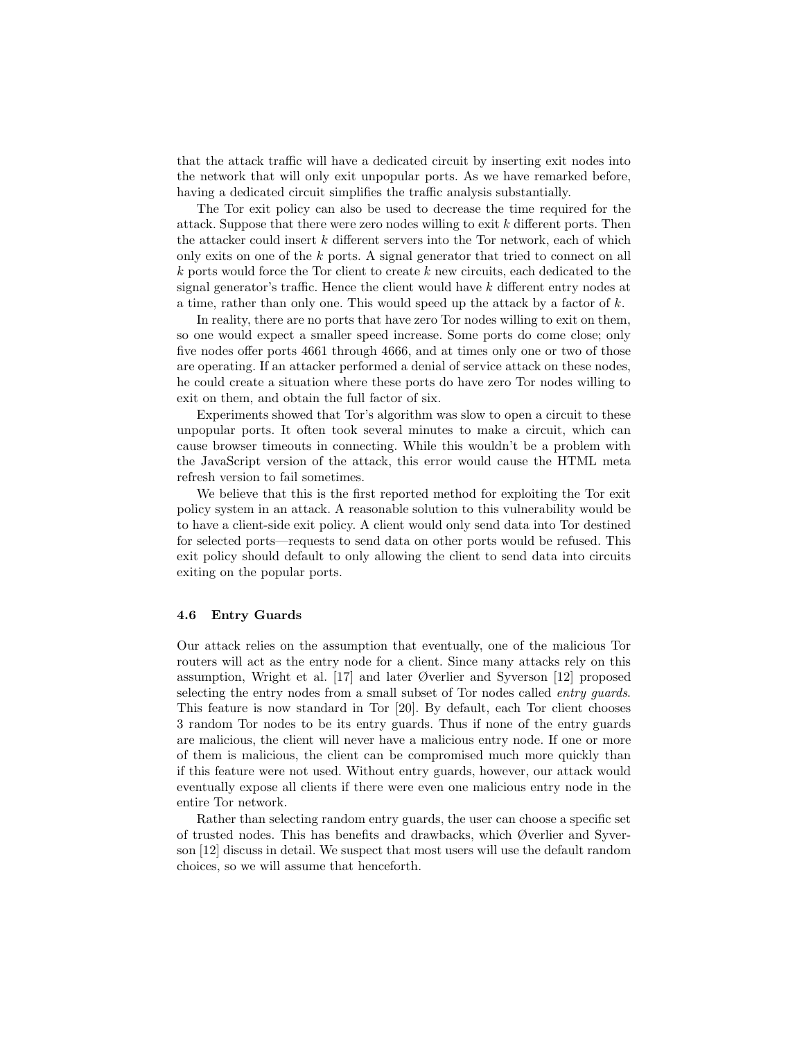that the attack traffic will have a dedicated circuit by inserting exit nodes into the network that will only exit unpopular ports. As we have remarked before, having a dedicated circuit simplifies the traffic analysis substantially.

The Tor exit policy can also be used to decrease the time required for the attack. Suppose that there were zero nodes willing to exit  $k$  different ports. Then the attacker could insert  $k$  different servers into the Tor network, each of which only exits on one of the k ports. A signal generator that tried to connect on all  $k$  ports would force the Tor client to create  $k$  new circuits, each dedicated to the signal generator's traffic. Hence the client would have k different entry nodes at a time, rather than only one. This would speed up the attack by a factor of k.

In reality, there are no ports that have zero Tor nodes willing to exit on them, so one would expect a smaller speed increase. Some ports do come close; only five nodes offer ports 4661 through 4666, and at times only one or two of those are operating. If an attacker performed a denial of service attack on these nodes, he could create a situation where these ports do have zero Tor nodes willing to exit on them, and obtain the full factor of six.

Experiments showed that Tor's algorithm was slow to open a circuit to these unpopular ports. It often took several minutes to make a circuit, which can cause browser timeouts in connecting. While this wouldn't be a problem with the JavaScript version of the attack, this error would cause the HTML meta refresh version to fail sometimes.

We believe that this is the first reported method for exploiting the Tor exit policy system in an attack. A reasonable solution to this vulnerability would be to have a client-side exit policy. A client would only send data into Tor destined for selected ports—requests to send data on other ports would be refused. This exit policy should default to only allowing the client to send data into circuits exiting on the popular ports.

#### 4.6 Entry Guards

Our attack relies on the assumption that eventually, one of the malicious Tor routers will act as the entry node for a client. Since many attacks rely on this assumption, Wright et al. [17] and later Øverlier and Syverson [12] proposed selecting the entry nodes from a small subset of Tor nodes called *entry guards*. This feature is now standard in Tor [20]. By default, each Tor client chooses 3 random Tor nodes to be its entry guards. Thus if none of the entry guards are malicious, the client will never have a malicious entry node. If one or more of them is malicious, the client can be compromised much more quickly than if this feature were not used. Without entry guards, however, our attack would eventually expose all clients if there were even one malicious entry node in the entire Tor network.

Rather than selecting random entry guards, the user can choose a specific set of trusted nodes. This has benefits and drawbacks, which Øverlier and Syverson [12] discuss in detail. We suspect that most users will use the default random choices, so we will assume that henceforth.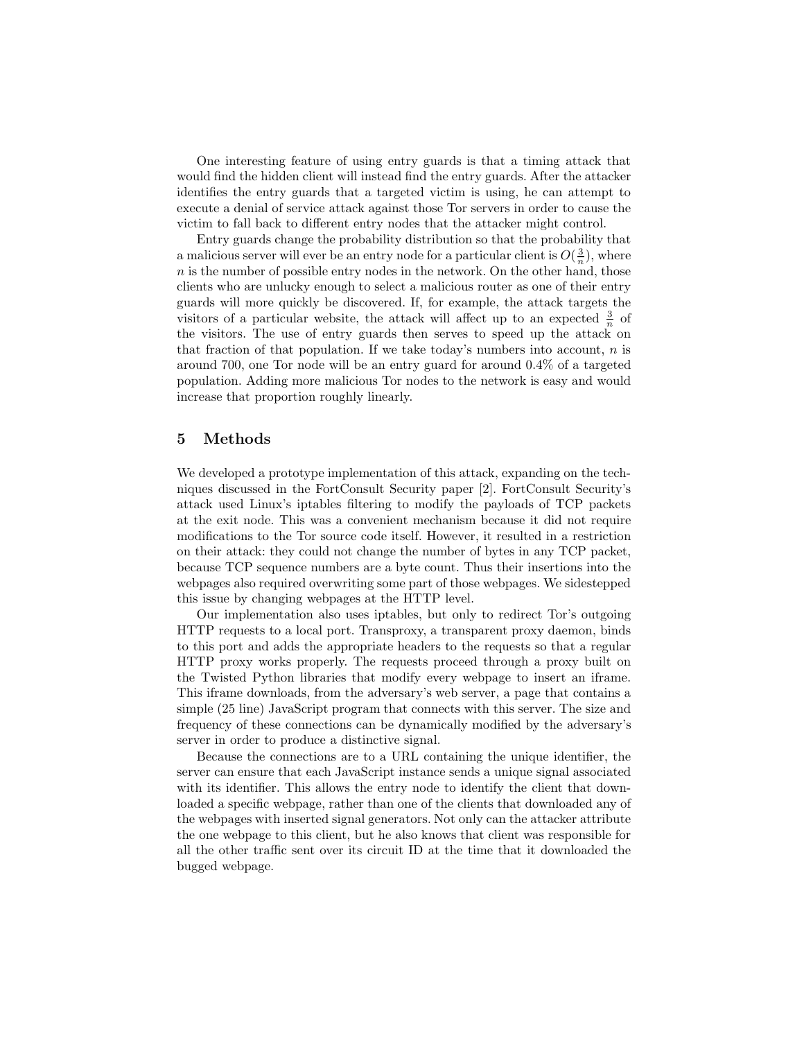One interesting feature of using entry guards is that a timing attack that would find the hidden client will instead find the entry guards. After the attacker identifies the entry guards that a targeted victim is using, he can attempt to execute a denial of service attack against those Tor servers in order to cause the victim to fall back to different entry nodes that the attacker might control.

Entry guards change the probability distribution so that the probability that a malicious server will ever be an entry node for a particular client is  $O(\frac{3}{n})$  $\frac{3}{n}$ , where  $n$  is the number of possible entry nodes in the network. On the other hand, those clients who are unlucky enough to select a malicious router as one of their entry guards will more quickly be discovered. If, for example, the attack targets the visitors of a particular website, the attack will affect up to an expected  $\frac{3}{n}$  of the visitors. The use of entry guards then serves to speed up the attack on that fraction of that population. If we take today's numbers into account,  $n$  is around 700, one Tor node will be an entry guard for around 0.4% of a targeted population. Adding more malicious Tor nodes to the network is easy and would increase that proportion roughly linearly.

## 5 Methods

We developed a prototype implementation of this attack, expanding on the techniques discussed in the FortConsult Security paper [2]. FortConsult Security's attack used Linux's iptables filtering to modify the payloads of TCP packets at the exit node. This was a convenient mechanism because it did not require modifications to the Tor source code itself. However, it resulted in a restriction on their attack: they could not change the number of bytes in any TCP packet, because TCP sequence numbers are a byte count. Thus their insertions into the webpages also required overwriting some part of those webpages. We sidestepped this issue by changing webpages at the HTTP level.

Our implementation also uses iptables, but only to redirect Tor's outgoing HTTP requests to a local port. Transproxy, a transparent proxy daemon, binds to this port and adds the appropriate headers to the requests so that a regular HTTP proxy works properly. The requests proceed through a proxy built on the Twisted Python libraries that modify every webpage to insert an iframe. This iframe downloads, from the adversary's web server, a page that contains a simple (25 line) JavaScript program that connects with this server. The size and frequency of these connections can be dynamically modified by the adversary's server in order to produce a distinctive signal.

Because the connections are to a URL containing the unique identifier, the server can ensure that each JavaScript instance sends a unique signal associated with its identifier. This allows the entry node to identify the client that downloaded a specific webpage, rather than one of the clients that downloaded any of the webpages with inserted signal generators. Not only can the attacker attribute the one webpage to this client, but he also knows that client was responsible for all the other traffic sent over its circuit ID at the time that it downloaded the bugged webpage.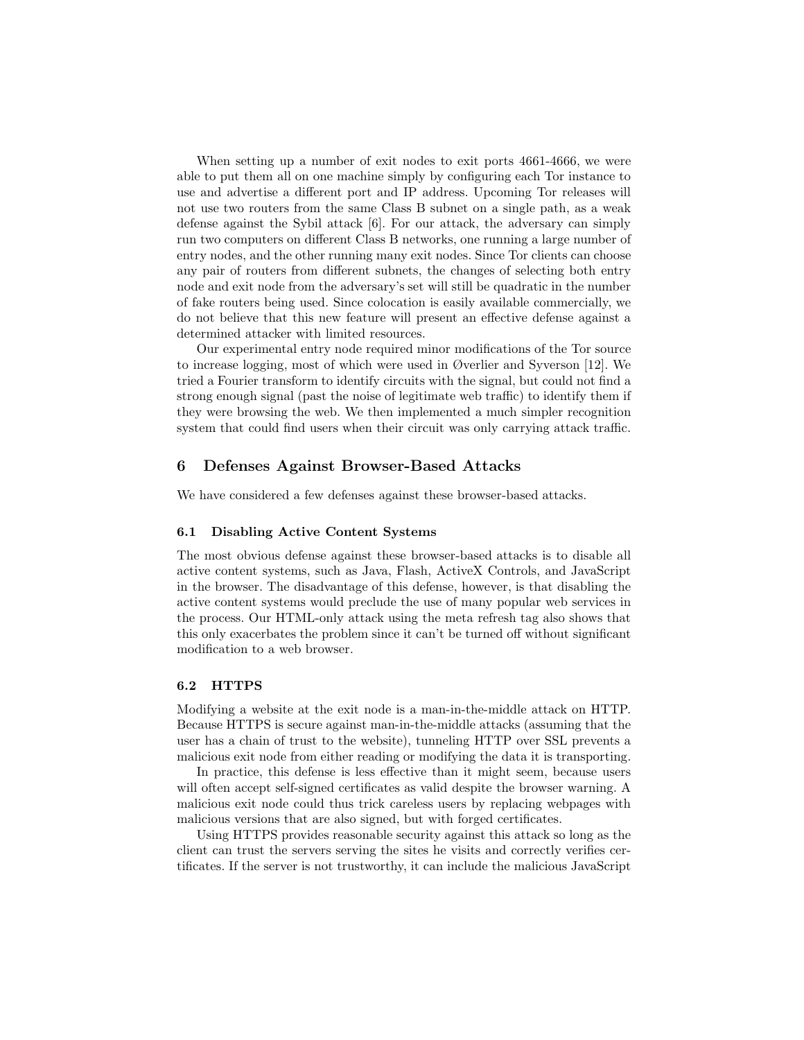When setting up a number of exit nodes to exit ports 4661-4666, we were able to put them all on one machine simply by configuring each Tor instance to use and advertise a different port and IP address. Upcoming Tor releases will not use two routers from the same Class B subnet on a single path, as a weak defense against the Sybil attack [6]. For our attack, the adversary can simply run two computers on different Class B networks, one running a large number of entry nodes, and the other running many exit nodes. Since Tor clients can choose any pair of routers from different subnets, the changes of selecting both entry node and exit node from the adversary's set will still be quadratic in the number of fake routers being used. Since colocation is easily available commercially, we do not believe that this new feature will present an effective defense against a determined attacker with limited resources.

Our experimental entry node required minor modifications of the Tor source to increase logging, most of which were used in Øverlier and Syverson [12]. We tried a Fourier transform to identify circuits with the signal, but could not find a strong enough signal (past the noise of legitimate web traffic) to identify them if they were browsing the web. We then implemented a much simpler recognition system that could find users when their circuit was only carrying attack traffic.

## 6 Defenses Against Browser-Based Attacks

We have considered a few defenses against these browser-based attacks.

#### 6.1 Disabling Active Content Systems

The most obvious defense against these browser-based attacks is to disable all active content systems, such as Java, Flash, ActiveX Controls, and JavaScript in the browser. The disadvantage of this defense, however, is that disabling the active content systems would preclude the use of many popular web services in the process. Our HTML-only attack using the meta refresh tag also shows that this only exacerbates the problem since it can't be turned off without significant modification to a web browser.

### 6.2 HTTPS

Modifying a website at the exit node is a man-in-the-middle attack on HTTP. Because HTTPS is secure against man-in-the-middle attacks (assuming that the user has a chain of trust to the website), tunneling HTTP over SSL prevents a malicious exit node from either reading or modifying the data it is transporting.

In practice, this defense is less effective than it might seem, because users will often accept self-signed certificates as valid despite the browser warning. A malicious exit node could thus trick careless users by replacing webpages with malicious versions that are also signed, but with forged certificates.

Using HTTPS provides reasonable security against this attack so long as the client can trust the servers serving the sites he visits and correctly verifies certificates. If the server is not trustworthy, it can include the malicious JavaScript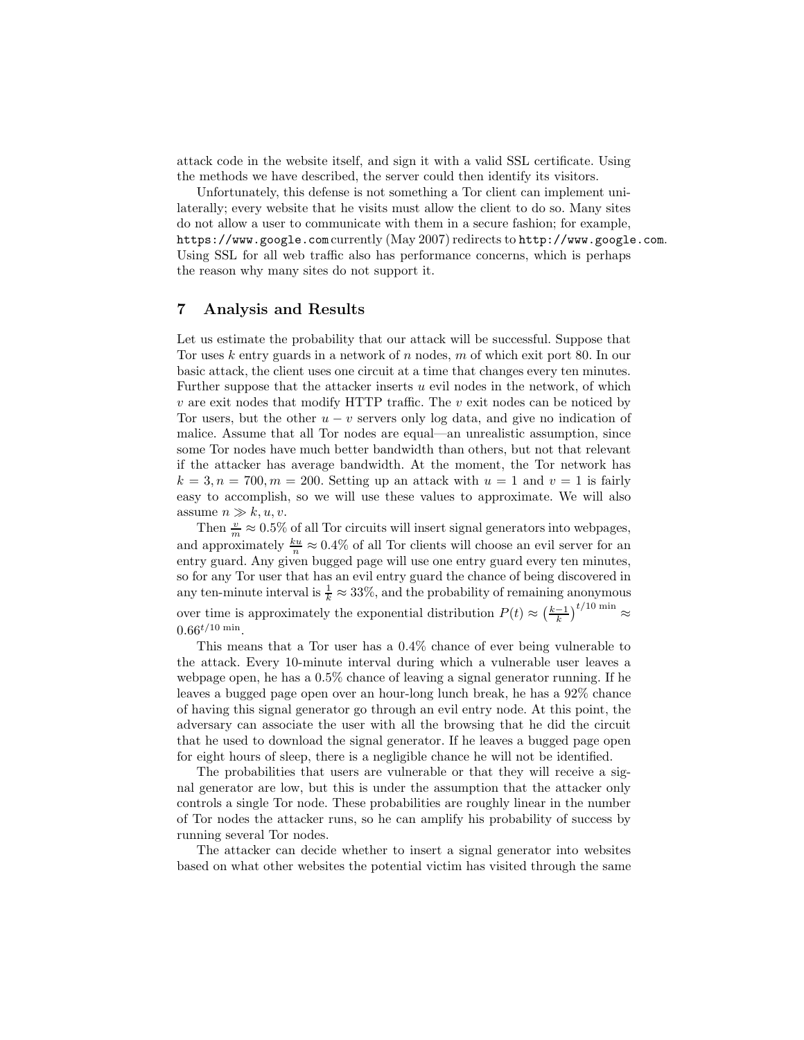attack code in the website itself, and sign it with a valid SSL certificate. Using the methods we have described, the server could then identify its visitors.

Unfortunately, this defense is not something a Tor client can implement unilaterally; every website that he visits must allow the client to do so. Many sites do not allow a user to communicate with them in a secure fashion; for example, https://www.google.com currently (May 2007) redirects to http://www.google.com. Using SSL for all web traffic also has performance concerns, which is perhaps the reason why many sites do not support it.

## 7 Analysis and Results

Let us estimate the probability that our attack will be successful. Suppose that Tor uses k entry guards in a network of n nodes,  $m$  of which exit port 80. In our basic attack, the client uses one circuit at a time that changes every ten minutes. Further suppose that the attacker inserts  $u$  evil nodes in the network, of which  $v$  are exit nodes that modify HTTP traffic. The  $v$  exit nodes can be noticed by Tor users, but the other  $u - v$  servers only log data, and give no indication of malice. Assume that all Tor nodes are equal—an unrealistic assumption, since some Tor nodes have much better bandwidth than others, but not that relevant if the attacker has average bandwidth. At the moment, the Tor network has  $k = 3, n = 700, m = 200$ . Setting up an attack with  $u = 1$  and  $v = 1$  is fairly easy to accomplish, so we will use these values to approximate. We will also assume  $n \gg k, u, v$ .

Then  $\frac{v}{m} \approx 0.5\%$  of all Tor circuits will insert signal generators into webpages, and approximately  $\frac{ku}{n} \approx 0.4\%$  of all Tor clients will choose an evil server for an entry guard. Any given bugged page will use one entry guard every ten minutes, so for any Tor user that has an evil entry guard the chance of being discovered in any ten-minute interval is  $\frac{1}{k} \approx 33\%$ , and the probability of remaining anonymous over time is approximately the exponential distribution  $P(t) \approx \left(\frac{k-1}{k}\right)^{t/10 \text{ min}} \approx$  $0.66^{t/10}$  min.

This means that a Tor user has a 0.4% chance of ever being vulnerable to the attack. Every 10-minute interval during which a vulnerable user leaves a webpage open, he has a 0.5% chance of leaving a signal generator running. If he leaves a bugged page open over an hour-long lunch break, he has a 92% chance of having this signal generator go through an evil entry node. At this point, the adversary can associate the user with all the browsing that he did the circuit that he used to download the signal generator. If he leaves a bugged page open for eight hours of sleep, there is a negligible chance he will not be identified.

The probabilities that users are vulnerable or that they will receive a signal generator are low, but this is under the assumption that the attacker only controls a single Tor node. These probabilities are roughly linear in the number of Tor nodes the attacker runs, so he can amplify his probability of success by running several Tor nodes.

The attacker can decide whether to insert a signal generator into websites based on what other websites the potential victim has visited through the same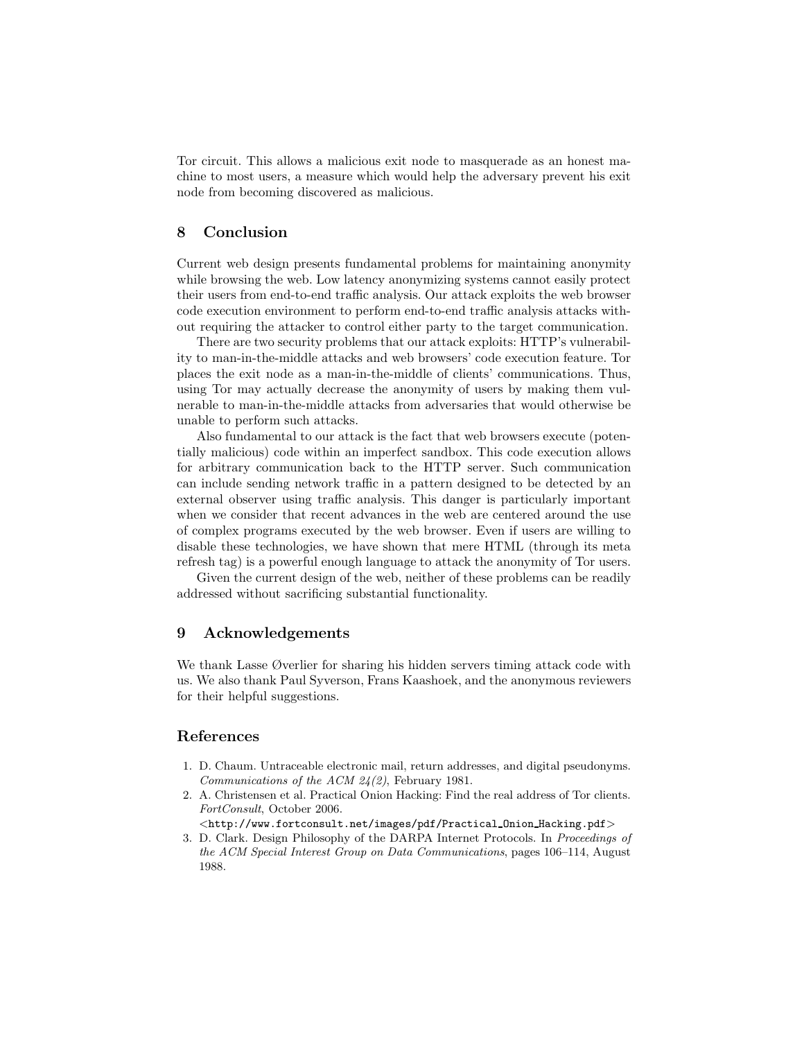Tor circuit. This allows a malicious exit node to masquerade as an honest machine to most users, a measure which would help the adversary prevent his exit node from becoming discovered as malicious.

## 8 Conclusion

Current web design presents fundamental problems for maintaining anonymity while browsing the web. Low latency anonymizing systems cannot easily protect their users from end-to-end traffic analysis. Our attack exploits the web browser code execution environment to perform end-to-end traffic analysis attacks without requiring the attacker to control either party to the target communication.

There are two security problems that our attack exploits: HTTP's vulnerability to man-in-the-middle attacks and web browsers' code execution feature. Tor places the exit node as a man-in-the-middle of clients' communications. Thus, using Tor may actually decrease the anonymity of users by making them vulnerable to man-in-the-middle attacks from adversaries that would otherwise be unable to perform such attacks.

Also fundamental to our attack is the fact that web browsers execute (potentially malicious) code within an imperfect sandbox. This code execution allows for arbitrary communication back to the HTTP server. Such communication can include sending network traffic in a pattern designed to be detected by an external observer using traffic analysis. This danger is particularly important when we consider that recent advances in the web are centered around the use of complex programs executed by the web browser. Even if users are willing to disable these technologies, we have shown that mere HTML (through its meta refresh tag) is a powerful enough language to attack the anonymity of Tor users.

Given the current design of the web, neither of these problems can be readily addressed without sacrificing substantial functionality.

### 9 Acknowledgements

We thank Lasse Øverlier for sharing his hidden servers timing attack code with us. We also thank Paul Syverson, Frans Kaashoek, and the anonymous reviewers for their helpful suggestions.

## References

- 1. D. Chaum. Untraceable electronic mail, return addresses, and digital pseudonyms. Communications of the ACM 24(2), February 1981.
- 2. A. Christensen et al. Practical Onion Hacking: Find the real address of Tor clients. FortConsult, October 2006.

 $<$ http://www.fortconsult.net/images/pdf/Practical\_Onion\_Hacking.pdf $>$ 

3. D. Clark. Design Philosophy of the DARPA Internet Protocols. In Proceedings of the ACM Special Interest Group on Data Communications, pages 106–114, August 1988.